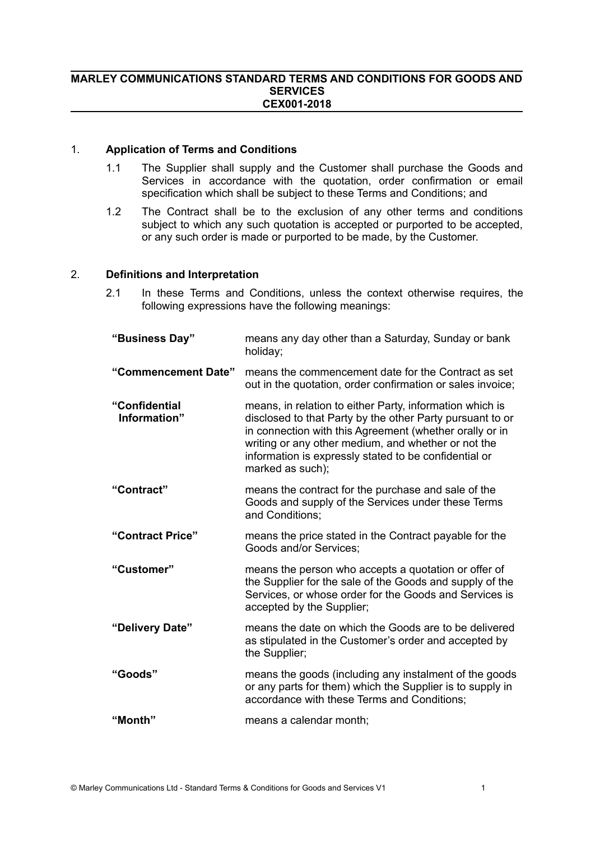#### **MARLEY COMMUNICATIONS STANDARD TERMS AND CONDITIONS FOR GOODS AND SERVICES CEX001-2018**

#### 1. **Application of Terms and Conditions**

- 1.1 The Supplier shall supply and the Customer shall purchase the Goods and Services in accordance with the quotation, order confirmation or email specification which shall be subject to these Terms and Conditions; and
- 1.2 The Contract shall be to the exclusion of any other terms and conditions subject to which any such quotation is accepted or purported to be accepted, or any such order is made or purported to be made, by the Customer.

# 2. **Definitions and Interpretation**

2.1 In these Terms and Conditions, unless the context otherwise requires, the following expressions have the following meanings:

| "Business Day"                | means any day other than a Saturday, Sunday or bank<br>holiday;                                                                                                                                                                                                                                                      |
|-------------------------------|----------------------------------------------------------------------------------------------------------------------------------------------------------------------------------------------------------------------------------------------------------------------------------------------------------------------|
| "Commencement Date"           | means the commencement date for the Contract as set<br>out in the quotation, order confirmation or sales invoice;                                                                                                                                                                                                    |
| "Confidential<br>Information" | means, in relation to either Party, information which is<br>disclosed to that Party by the other Party pursuant to or<br>in connection with this Agreement (whether orally or in<br>writing or any other medium, and whether or not the<br>information is expressly stated to be confidential or<br>marked as such); |
| "Contract"                    | means the contract for the purchase and sale of the<br>Goods and supply of the Services under these Terms<br>and Conditions:                                                                                                                                                                                         |
| "Contract Price"              | means the price stated in the Contract payable for the<br>Goods and/or Services;                                                                                                                                                                                                                                     |
| "Customer"                    | means the person who accepts a quotation or offer of<br>the Supplier for the sale of the Goods and supply of the<br>Services, or whose order for the Goods and Services is<br>accepted by the Supplier;                                                                                                              |
| "Delivery Date"               | means the date on which the Goods are to be delivered<br>as stipulated in the Customer's order and accepted by<br>the Supplier;                                                                                                                                                                                      |
| "Goods"                       | means the goods (including any instalment of the goods<br>or any parts for them) which the Supplier is to supply in<br>accordance with these Terms and Conditions;                                                                                                                                                   |
| "Month"                       | means a calendar month;                                                                                                                                                                                                                                                                                              |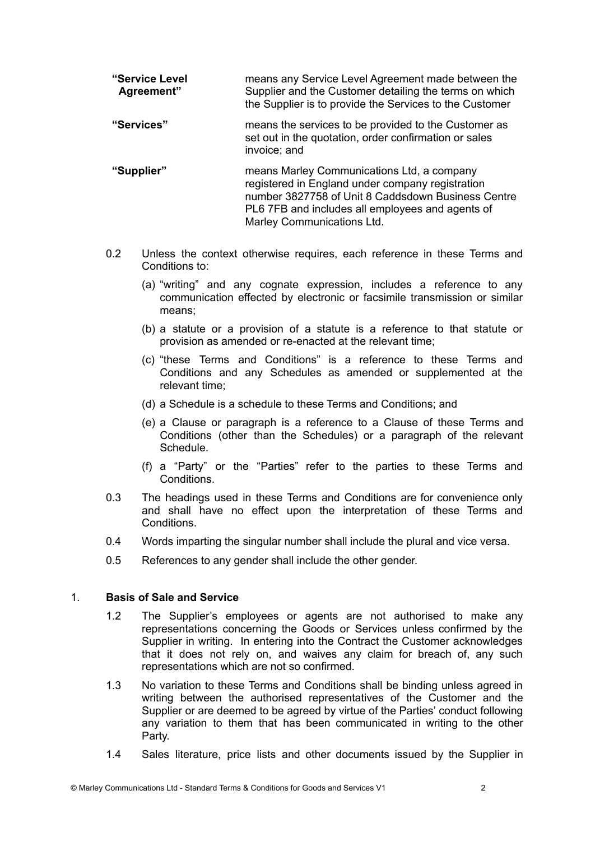| "Service Level<br>Agreement" | means any Service Level Agreement made between the<br>Supplier and the Customer detailing the terms on which<br>the Supplier is to provide the Services to the Customer |
|------------------------------|-------------------------------------------------------------------------------------------------------------------------------------------------------------------------|
| "Services"                   | means the services to be provided to the Customer as<br>set out in the quotation, order confirmation or sales<br>invoice; and                                           |

- **"Supplier"** means Marley Communications Ltd, a company registered in England under company registration number 3827758 of Unit 8 Caddsdown Business Centre PL6 7FB and includes all employees and agents of Marley Communications Ltd.
- 0.2 Unless the context otherwise requires, each reference in these Terms and Conditions to:
	- (a) "writing" and any cognate expression, includes a reference to any communication effected by electronic or facsimile transmission or similar means;
	- (b) a statute or a provision of a statute is a reference to that statute or provision as amended or re-enacted at the relevant time;
	- (c) "these Terms and Conditions" is a reference to these Terms and Conditions and any Schedules as amended or supplemented at the relevant time;
	- (d) a Schedule is a schedule to these Terms and Conditions; and
	- (e) a Clause or paragraph is a reference to a Clause of these Terms and Conditions (other than the Schedules) or a paragraph of the relevant Schedule.
	- (f) a "Party" or the "Parties" refer to the parties to these Terms and Conditions.
- 0.3 The headings used in these Terms and Conditions are for convenience only and shall have no effect upon the interpretation of these Terms and **Conditions**
- 0.4 Words imparting the singular number shall include the plural and vice versa.
- 0.5 References to any gender shall include the other gender.

# 1. **Basis of Sale and Service**

- 1.2 The Supplier's employees or agents are not authorised to make any representations concerning the Goods or Services unless confirmed by the Supplier in writing. In entering into the Contract the Customer acknowledges that it does not rely on, and waives any claim for breach of, any such representations which are not so confirmed.
- 1.3 No variation to these Terms and Conditions shall be binding unless agreed in writing between the authorised representatives of the Customer and the Supplier or are deemed to be agreed by virtue of the Parties' conduct following any variation to them that has been communicated in writing to the other Party.
- 1.4 Sales literature, price lists and other documents issued by the Supplier in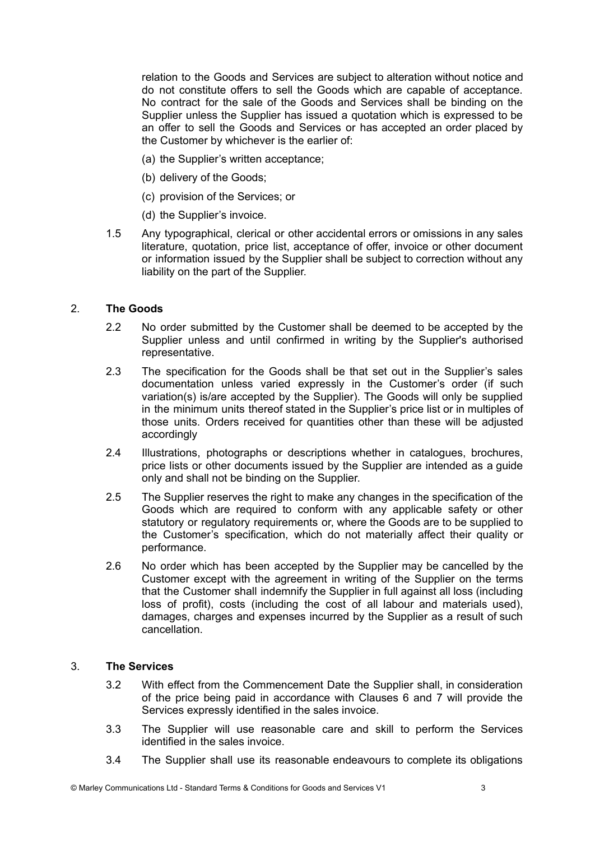relation to the Goods and Services are subject to alteration without notice and do not constitute offers to sell the Goods which are capable of acceptance. No contract for the sale of the Goods and Services shall be binding on the Supplier unless the Supplier has issued a quotation which is expressed to be an offer to sell the Goods and Services or has accepted an order placed by the Customer by whichever is the earlier of:

- (a) the Supplier's written acceptance;
- (b) delivery of the Goods;
- (c) provision of the Services; or
- (d) the Supplier's invoice.
- 1.5 Any typographical, clerical or other accidental errors or omissions in any sales literature, quotation, price list, acceptance of offer, invoice or other document or information issued by the Supplier shall be subject to correction without any liability on the part of the Supplier.

# 2. **The Goods**

- 2.2 No order submitted by the Customer shall be deemed to be accepted by the Supplier unless and until confirmed in writing by the Supplier's authorised representative.
- 2.3 The specification for the Goods shall be that set out in the Supplier's sales documentation unless varied expressly in the Customer's order (if such variation(s) is/are accepted by the Supplier). The Goods will only be supplied in the minimum units thereof stated in the Supplier's price list or in multiples of those units. Orders received for quantities other than these will be adjusted accordingly
- 2.4 Illustrations, photographs or descriptions whether in catalogues, brochures, price lists or other documents issued by the Supplier are intended as a guide only and shall not be binding on the Supplier.
- 2.5 The Supplier reserves the right to make any changes in the specification of the Goods which are required to conform with any applicable safety or other statutory or regulatory requirements or, where the Goods are to be supplied to the Customer's specification, which do not materially affect their quality or performance.
- 2.6 No order which has been accepted by the Supplier may be cancelled by the Customer except with the agreement in writing of the Supplier on the terms that the Customer shall indemnify the Supplier in full against all loss (including loss of profit), costs (including the cost of all labour and materials used), damages, charges and expenses incurred by the Supplier as a result of such cancellation.

# 3. **The Services**

- 3.2 With effect from the Commencement Date the Supplier shall, in consideration of the price being paid in accordance with Clauses 6 and 7 will provide the Services expressly identified in the sales invoice.
- 3.3 The Supplier will use reasonable care and skill to perform the Services identified in the sales invoice.
- 3.4 The Supplier shall use its reasonable endeavours to complete its obligations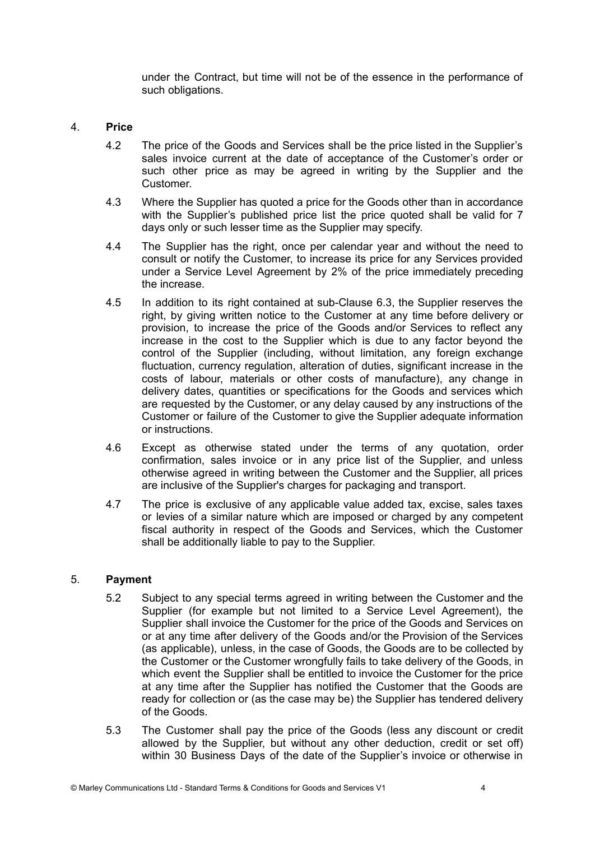under the Contract, but time will not be of the essence in the performance of such obligations.

# 4. **Price**

- 4.2 The price of the Goods and Services shall be the price listed in the Supplier's sales invoice current at the date of acceptance of the Customer's order or such other price as may be agreed in writing by the Supplier and the Customer.
- 4.3 Where the Supplier has quoted a price for the Goods other than in accordance with the Supplier's published price list the price quoted shall be valid for 7 days only or such lesser time as the Supplier may specify.
- 4.4 The Supplier has the right, once per calendar year and without the need to consult or notify the Customer, to increase its price for any Services provided under a Service Level Agreement by 2% of the price immediately preceding the increase.
- 4.5 In addition to its right contained at sub-Clause 6.3, the Supplier reserves the right, by giving written notice to the Customer at any time before delivery or provision, to increase the price of the Goods and/or Services to reflect any increase in the cost to the Supplier which is due to any factor beyond the control of the Supplier (including, without limitation, any foreign exchange fluctuation, currency regulation, alteration of duties, significant increase in the costs of labour, materials or other costs of manufacture), any change in delivery dates, quantities or specifications for the Goods and services which are requested by the Customer, or any delay caused by any instructions of the Customer or failure of the Customer to give the Supplier adequate information or instructions.
- 4.6 Except as otherwise stated under the terms of any quotation, order confirmation, sales invoice or in any price list of the Supplier, and unless otherwise agreed in writing between the Customer and the Supplier, all prices are inclusive of the Supplier's charges for packaging and transport.
- 4.7 The price is exclusive of any applicable value added tax, excise, sales taxes or levies of a similar nature which are imposed or charged by any competent fiscal authority in respect of the Goods and Services, which the Customer shall be additionally liable to pay to the Supplier.

#### 5. **Payment**

- 5.2 Subject to any special terms agreed in writing between the Customer and the Supplier (for example but not limited to a Service Level Agreement), the Supplier shall invoice the Customer for the price of the Goods and Services on or at any time after delivery of the Goods and/or the Provision of the Services (as applicable), unless, in the case of Goods, the Goods are to be collected by the Customer or the Customer wrongfully fails to take delivery of the Goods, in which event the Supplier shall be entitled to invoice the Customer for the price at any time after the Supplier has notified the Customer that the Goods are ready for collection or (as the case may be) the Supplier has tendered delivery of the Goods.
- 5.3 The Customer shall pay the price of the Goods (less any discount or credit allowed by the Supplier, but without any other deduction, credit or set off) within 30 Business Days of the date of the Supplier's invoice or otherwise in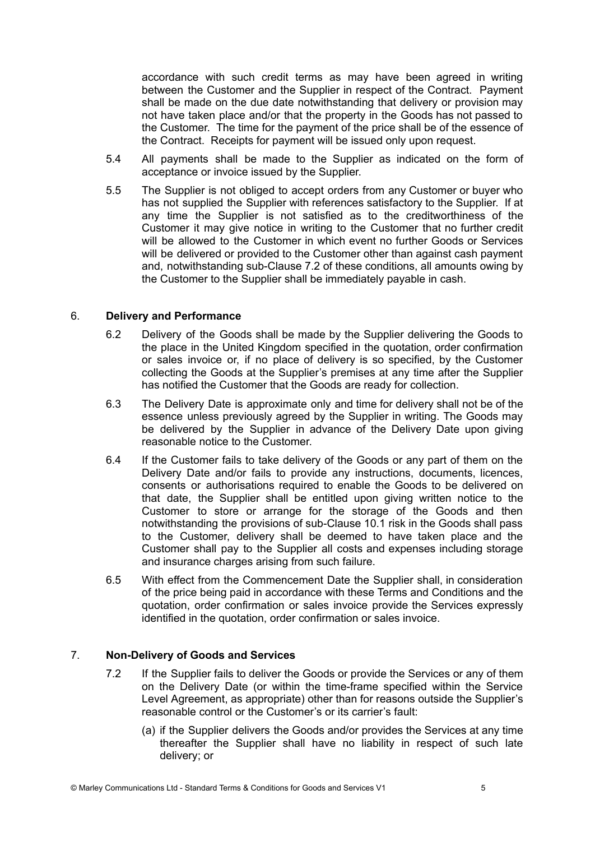accordance with such credit terms as may have been agreed in writing between the Customer and the Supplier in respect of the Contract. Payment shall be made on the due date notwithstanding that delivery or provision may not have taken place and/or that the property in the Goods has not passed to the Customer. The time for the payment of the price shall be of the essence of the Contract. Receipts for payment will be issued only upon request.

- 5.4 All payments shall be made to the Supplier as indicated on the form of acceptance or invoice issued by the Supplier.
- 5.5 The Supplier is not obliged to accept orders from any Customer or buyer who has not supplied the Supplier with references satisfactory to the Supplier. If at any time the Supplier is not satisfied as to the creditworthiness of the Customer it may give notice in writing to the Customer that no further credit will be allowed to the Customer in which event no further Goods or Services will be delivered or provided to the Customer other than against cash payment and, notwithstanding sub-Clause 7.2 of these conditions, all amounts owing by the Customer to the Supplier shall be immediately payable in cash.

# 6. **Delivery and Performance**

- 6.2 Delivery of the Goods shall be made by the Supplier delivering the Goods to the place in the United Kingdom specified in the quotation, order confirmation or sales invoice or, if no place of delivery is so specified, by the Customer collecting the Goods at the Supplier's premises at any time after the Supplier has notified the Customer that the Goods are ready for collection.
- 6.3 The Delivery Date is approximate only and time for delivery shall not be of the essence unless previously agreed by the Supplier in writing. The Goods may be delivered by the Supplier in advance of the Delivery Date upon giving reasonable notice to the Customer.
- 6.4 If the Customer fails to take delivery of the Goods or any part of them on the Delivery Date and/or fails to provide any instructions, documents, licences, consents or authorisations required to enable the Goods to be delivered on that date, the Supplier shall be entitled upon giving written notice to the Customer to store or arrange for the storage of the Goods and then notwithstanding the provisions of sub-Clause 10.1 risk in the Goods shall pass to the Customer, delivery shall be deemed to have taken place and the Customer shall pay to the Supplier all costs and expenses including storage and insurance charges arising from such failure.
- 6.5 With effect from the Commencement Date the Supplier shall, in consideration of the price being paid in accordance with these Terms and Conditions and the quotation, order confirmation or sales invoice provide the Services expressly identified in the quotation, order confirmation or sales invoice.

# 7. **Non-Delivery of Goods and Services**

- 7.2 If the Supplier fails to deliver the Goods or provide the Services or any of them on the Delivery Date (or within the time-frame specified within the Service Level Agreement, as appropriate) other than for reasons outside the Supplier's reasonable control or the Customer's or its carrier's fault:
	- (a) if the Supplier delivers the Goods and/or provides the Services at any time thereafter the Supplier shall have no liability in respect of such late delivery; or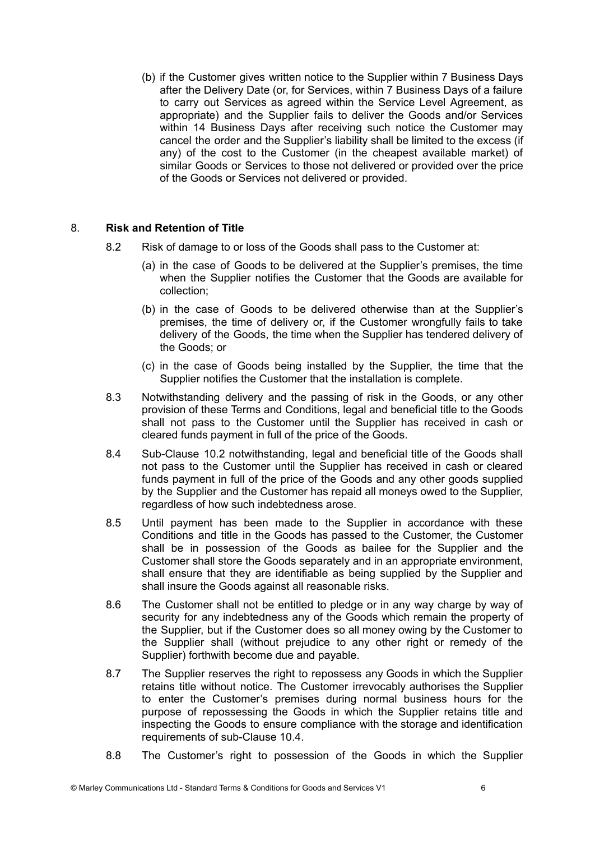(b) if the Customer gives written notice to the Supplier within 7 Business Days after the Delivery Date (or, for Services, within 7 Business Days of a failure to carry out Services as agreed within the Service Level Agreement, as appropriate) and the Supplier fails to deliver the Goods and/or Services within 14 Business Days after receiving such notice the Customer may cancel the order and the Supplier's liability shall be limited to the excess (if any) of the cost to the Customer (in the cheapest available market) of similar Goods or Services to those not delivered or provided over the price of the Goods or Services not delivered or provided.

# 8. **Risk and Retention of Title**

- 8.2 Risk of damage to or loss of the Goods shall pass to the Customer at:
	- (a) in the case of Goods to be delivered at the Supplier's premises, the time when the Supplier notifies the Customer that the Goods are available for collection;
	- (b) in the case of Goods to be delivered otherwise than at the Supplier's premises, the time of delivery or, if the Customer wrongfully fails to take delivery of the Goods, the time when the Supplier has tendered delivery of the Goods; or
	- (c) in the case of Goods being installed by the Supplier, the time that the Supplier notifies the Customer that the installation is complete.
- 8.3 Notwithstanding delivery and the passing of risk in the Goods, or any other provision of these Terms and Conditions, legal and beneficial title to the Goods shall not pass to the Customer until the Supplier has received in cash or cleared funds payment in full of the price of the Goods.
- 8.4 Sub-Clause 10.2 notwithstanding, legal and beneficial title of the Goods shall not pass to the Customer until the Supplier has received in cash or cleared funds payment in full of the price of the Goods and any other goods supplied by the Supplier and the Customer has repaid all moneys owed to the Supplier, regardless of how such indebtedness arose.
- 8.5 Until payment has been made to the Supplier in accordance with these Conditions and title in the Goods has passed to the Customer, the Customer shall be in possession of the Goods as bailee for the Supplier and the Customer shall store the Goods separately and in an appropriate environment, shall ensure that they are identifiable as being supplied by the Supplier and shall insure the Goods against all reasonable risks.
- 8.6 The Customer shall not be entitled to pledge or in any way charge by way of security for any indebtedness any of the Goods which remain the property of the Supplier, but if the Customer does so all money owing by the Customer to the Supplier shall (without prejudice to any other right or remedy of the Supplier) forthwith become due and payable.
- 8.7 The Supplier reserves the right to repossess any Goods in which the Supplier retains title without notice. The Customer irrevocably authorises the Supplier to enter the Customer's premises during normal business hours for the purpose of repossessing the Goods in which the Supplier retains title and inspecting the Goods to ensure compliance with the storage and identification requirements of sub-Clause 10.4.
- 8.8 The Customer's right to possession of the Goods in which the Supplier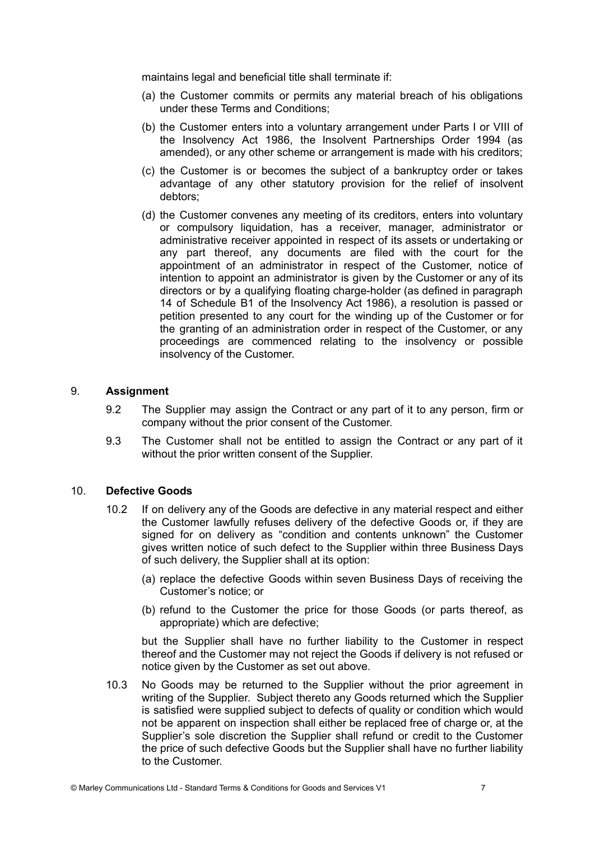maintains legal and beneficial title shall terminate if:

- (a) the Customer commits or permits any material breach of his obligations under these Terms and Conditions;
- (b) the Customer enters into a voluntary arrangement under Parts I or VIII of the Insolvency Act 1986, the Insolvent Partnerships Order 1994 (as amended), or any other scheme or arrangement is made with his creditors;
- (c) the Customer is or becomes the subject of a bankruptcy order or takes advantage of any other statutory provision for the relief of insolvent debtors;
- (d) the Customer convenes any meeting of its creditors, enters into voluntary or compulsory liquidation, has a receiver, manager, administrator or administrative receiver appointed in respect of its assets or undertaking or any part thereof, any documents are filed with the court for the appointment of an administrator in respect of the Customer, notice of intention to appoint an administrator is given by the Customer or any of its directors or by a qualifying floating charge-holder (as defined in paragraph 14 of Schedule B1 of the Insolvency Act 1986), a resolution is passed or petition presented to any court for the winding up of the Customer or for the granting of an administration order in respect of the Customer, or any proceedings are commenced relating to the insolvency or possible insolvency of the Customer.

# 9. **Assignment**

- 9.2 The Supplier may assign the Contract or any part of it to any person, firm or company without the prior consent of the Customer.
- 9.3 The Customer shall not be entitled to assign the Contract or any part of it without the prior written consent of the Supplier.

#### 10. **Defective Goods**

- 10.2 If on delivery any of the Goods are defective in any material respect and either the Customer lawfully refuses delivery of the defective Goods or, if they are signed for on delivery as "condition and contents unknown" the Customer gives written notice of such defect to the Supplier within three Business Days of such delivery, the Supplier shall at its option:
	- (a) replace the defective Goods within seven Business Days of receiving the Customer's notice; or
	- (b) refund to the Customer the price for those Goods (or parts thereof, as appropriate) which are defective;

but the Supplier shall have no further liability to the Customer in respect thereof and the Customer may not reject the Goods if delivery is not refused or notice given by the Customer as set out above.

10.3 No Goods may be returned to the Supplier without the prior agreement in writing of the Supplier. Subject thereto any Goods returned which the Supplier is satisfied were supplied subject to defects of quality or condition which would not be apparent on inspection shall either be replaced free of charge or, at the Supplier's sole discretion the Supplier shall refund or credit to the Customer the price of such defective Goods but the Supplier shall have no further liability to the Customer.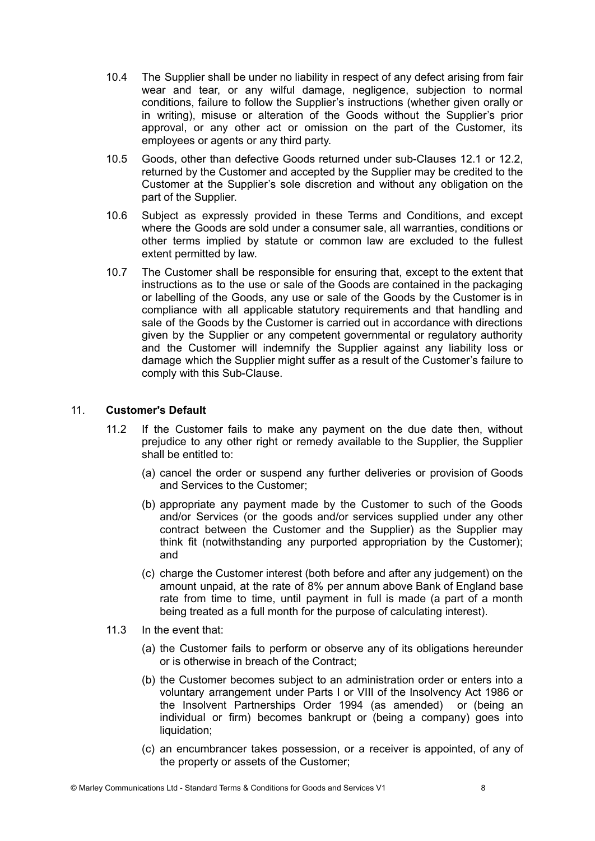- 10.4 The Supplier shall be under no liability in respect of any defect arising from fair wear and tear, or any wilful damage, negligence, subjection to normal conditions, failure to follow the Supplier's instructions (whether given orally or in writing), misuse or alteration of the Goods without the Supplier's prior approval, or any other act or omission on the part of the Customer, its employees or agents or any third party.
- 10.5 Goods, other than defective Goods returned under sub-Clauses 12.1 or 12.2, returned by the Customer and accepted by the Supplier may be credited to the Customer at the Supplier's sole discretion and without any obligation on the part of the Supplier.
- 10.6 Subject as expressly provided in these Terms and Conditions, and except where the Goods are sold under a consumer sale, all warranties, conditions or other terms implied by statute or common law are excluded to the fullest extent permitted by law.
- 10.7 The Customer shall be responsible for ensuring that, except to the extent that instructions as to the use or sale of the Goods are contained in the packaging or labelling of the Goods, any use or sale of the Goods by the Customer is in compliance with all applicable statutory requirements and that handling and sale of the Goods by the Customer is carried out in accordance with directions given by the Supplier or any competent governmental or regulatory authority and the Customer will indemnify the Supplier against any liability loss or damage which the Supplier might suffer as a result of the Customer's failure to comply with this Sub-Clause.

# 11. **Customer's Default**

- 11.2 If the Customer fails to make any payment on the due date then, without prejudice to any other right or remedy available to the Supplier, the Supplier shall be entitled to:
	- (a) cancel the order or suspend any further deliveries or provision of Goods and Services to the Customer;
	- (b) appropriate any payment made by the Customer to such of the Goods and/or Services (or the goods and/or services supplied under any other contract between the Customer and the Supplier) as the Supplier may think fit (notwithstanding any purported appropriation by the Customer); and
	- (c) charge the Customer interest (both before and after any judgement) on the amount unpaid, at the rate of 8% per annum above Bank of England base rate from time to time, until payment in full is made (a part of a month being treated as a full month for the purpose of calculating interest).
- 11.3 In the event that:
	- (a) the Customer fails to perform or observe any of its obligations hereunder or is otherwise in breach of the Contract;
	- (b) the Customer becomes subject to an administration order or enters into a voluntary arrangement under Parts I or VIII of the Insolvency Act 1986 or the Insolvent Partnerships Order 1994 (as amended) or (being an individual or firm) becomes bankrupt or (being a company) goes into liquidation:
	- (c) an encumbrancer takes possession, or a receiver is appointed, of any of the property or assets of the Customer;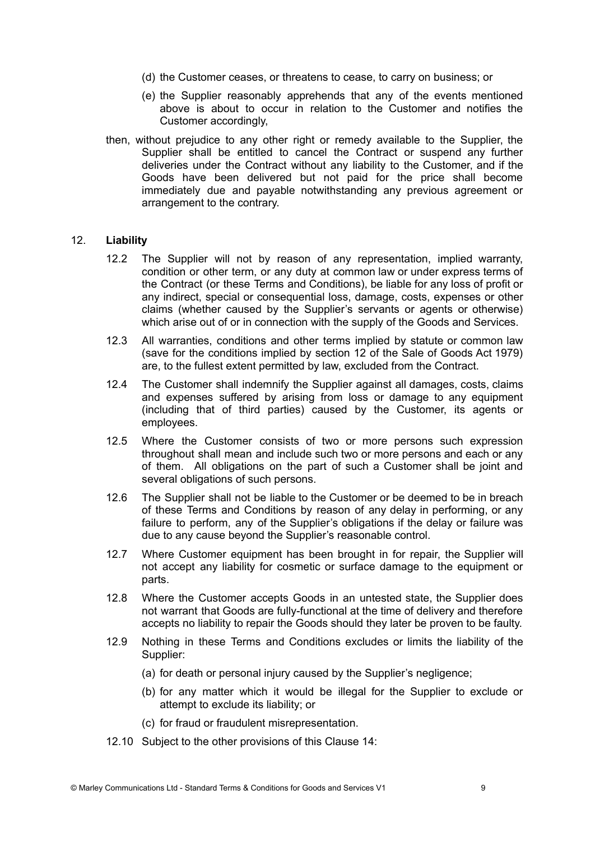- (d) the Customer ceases, or threatens to cease, to carry on business; or
- (e) the Supplier reasonably apprehends that any of the events mentioned above is about to occur in relation to the Customer and notifies the Customer accordingly,
- then, without prejudice to any other right or remedy available to the Supplier, the Supplier shall be entitled to cancel the Contract or suspend any further deliveries under the Contract without any liability to the Customer, and if the Goods have been delivered but not paid for the price shall become immediately due and payable notwithstanding any previous agreement or arrangement to the contrary.

#### 12. **Liability**

- 12.2 The Supplier will not by reason of any representation, implied warranty, condition or other term, or any duty at common law or under express terms of the Contract (or these Terms and Conditions), be liable for any loss of profit or any indirect, special or consequential loss, damage, costs, expenses or other claims (whether caused by the Supplier's servants or agents or otherwise) which arise out of or in connection with the supply of the Goods and Services.
- 12.3 All warranties, conditions and other terms implied by statute or common law (save for the conditions implied by section 12 of the Sale of Goods Act 1979) are, to the fullest extent permitted by law, excluded from the Contract.
- 12.4 The Customer shall indemnify the Supplier against all damages, costs, claims and expenses suffered by arising from loss or damage to any equipment (including that of third parties) caused by the Customer, its agents or employees.
- 12.5 Where the Customer consists of two or more persons such expression throughout shall mean and include such two or more persons and each or any of them. All obligations on the part of such a Customer shall be joint and several obligations of such persons.
- 12.6 The Supplier shall not be liable to the Customer or be deemed to be in breach of these Terms and Conditions by reason of any delay in performing, or any failure to perform, any of the Supplier's obligations if the delay or failure was due to any cause beyond the Supplier's reasonable control.
- 12.7 Where Customer equipment has been brought in for repair, the Supplier will not accept any liability for cosmetic or surface damage to the equipment or parts.
- 12.8 Where the Customer accepts Goods in an untested state, the Supplier does not warrant that Goods are fully-functional at the time of delivery and therefore accepts no liability to repair the Goods should they later be proven to be faulty.
- 12.9 Nothing in these Terms and Conditions excludes or limits the liability of the Supplier:
	- (a) for death or personal injury caused by the Supplier's negligence;
	- (b) for any matter which it would be illegal for the Supplier to exclude or attempt to exclude its liability; or
	- (c) for fraud or fraudulent misrepresentation.
- 12.10 Subject to the other provisions of this Clause 14: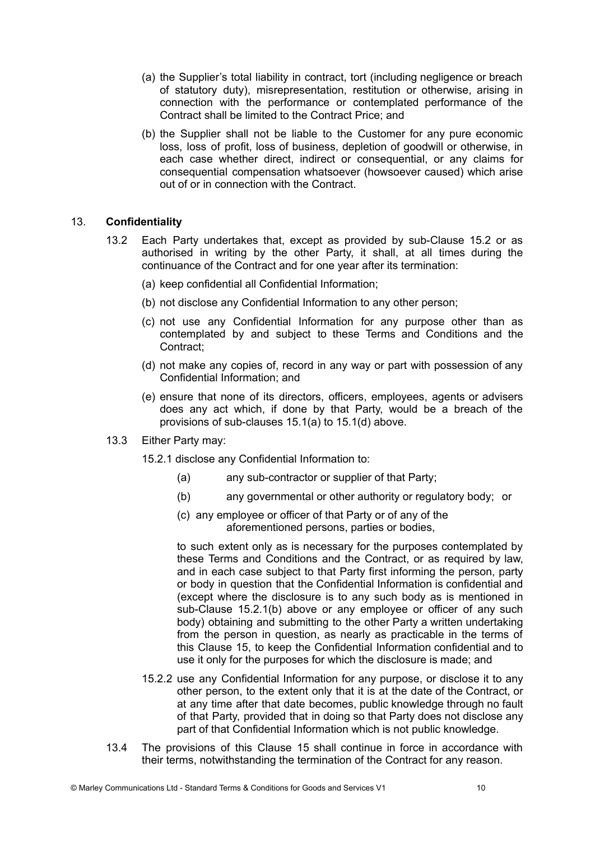- (a) the Supplier's total liability in contract, tort (including negligence or breach of statutory duty), misrepresentation, restitution or otherwise, arising in connection with the performance or contemplated performance of the Contract shall be limited to the Contract Price; and
- (b) the Supplier shall not be liable to the Customer for any pure economic loss, loss of profit, loss of business, depletion of goodwill or otherwise, in each case whether direct, indirect or consequential, or any claims for consequential compensation whatsoever (howsoever caused) which arise out of or in connection with the Contract.

# 13. **Confidentiality**

- 13.2 Each Party undertakes that, except as provided by sub-Clause 15.2 or as authorised in writing by the other Party, it shall, at all times during the continuance of the Contract and for one year after its termination:
	- (a) keep confidential all Confidential Information;
	- (b) not disclose any Confidential Information to any other person;
	- (c) not use any Confidential Information for any purpose other than as contemplated by and subject to these Terms and Conditions and the Contract;
	- (d) not make any copies of, record in any way or part with possession of any Confidential Information; and
	- (e) ensure that none of its directors, officers, employees, agents or advisers does any act which, if done by that Party, would be a breach of the provisions of sub-clauses 15.1(a) to 15.1(d) above.
- 13.3 Either Party may:

15.2.1 disclose any Confidential Information to:

- (a) any sub-contractor or supplier of that Party;
- (b) any governmental or other authority or regulatory body; or
- (c) any employee or officer of that Party or of any of the aforementioned persons, parties or bodies,

to such extent only as is necessary for the purposes contemplated by these Terms and Conditions and the Contract, or as required by law, and in each case subject to that Party first informing the person, party or body in question that the Confidential Information is confidential and (except where the disclosure is to any such body as is mentioned in sub-Clause 15.2.1(b) above or any employee or officer of any such body) obtaining and submitting to the other Party a written undertaking from the person in question, as nearly as practicable in the terms of this Clause 15, to keep the Confidential Information confidential and to use it only for the purposes for which the disclosure is made; and

- 15.2.2 use any Confidential Information for any purpose, or disclose it to any other person, to the extent only that it is at the date of the Contract, or at any time after that date becomes, public knowledge through no fault of that Party, provided that in doing so that Party does not disclose any part of that Confidential Information which is not public knowledge.
- 13.4 The provisions of this Clause 15 shall continue in force in accordance with their terms, notwithstanding the termination of the Contract for any reason.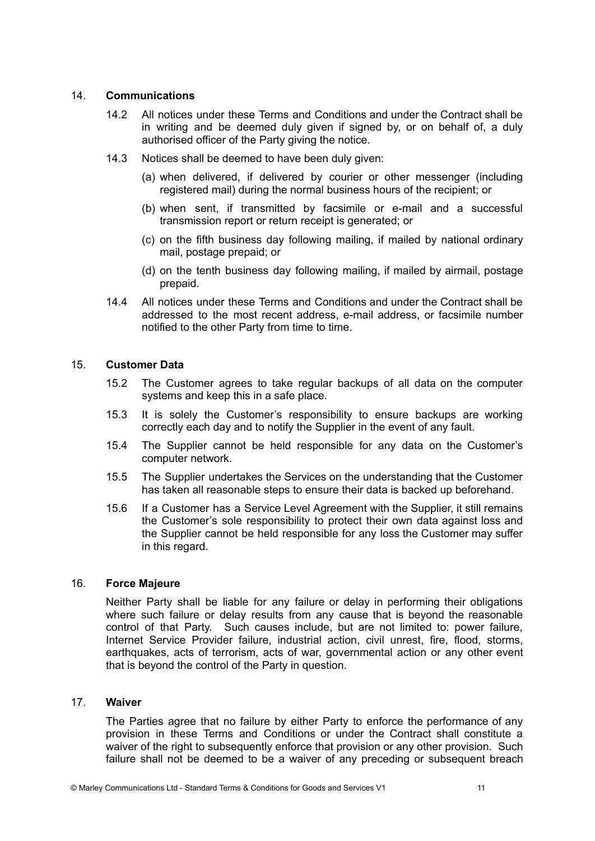# 14. **Communications**

- 14.2 All notices under these Terms and Conditions and under the Contract shall be in writing and be deemed duly given if signed by, or on behalf of, a duly authorised officer of the Party giving the notice.
- 14.3 Notices shall be deemed to have been duly given:
	- (a) when delivered, if delivered by courier or other messenger (including registered mail) during the normal business hours of the recipient; or
	- (b) when sent, if transmitted by facsimile or e-mail and a successful transmission report or return receipt is generated; or
	- (c) on the fifth business day following mailing, if mailed by national ordinary mail, postage prepaid; or
	- (d) on the tenth business day following mailing, if mailed by airmail, postage prepaid.
- 14.4 All notices under these Terms and Conditions and under the Contract shall be addressed to the most recent address, e-mail address, or facsimile number notified to the other Party from time to time.

# 15. **Customer Data**

- 15.2 The Customer agrees to take regular backups of all data on the computer systems and keep this in a safe place.
- 15.3 It is solely the Customer's responsibility to ensure backups are working correctly each day and to notify the Supplier in the event of any fault.
- 15.4 The Supplier cannot be held responsible for any data on the Customer's computer network.
- 15.5 The Supplier undertakes the Services on the understanding that the Customer has taken all reasonable steps to ensure their data is backed up beforehand.
- 15.6 If a Customer has a Service Level Agreement with the Supplier, it still remains the Customer's sole responsibility to protect their own data against loss and the Supplier cannot be held responsible for any loss the Customer may suffer in this regard.

# 16. **Force Majeure**

Neither Party shall be liable for any failure or delay in performing their obligations where such failure or delay results from any cause that is beyond the reasonable control of that Party. Such causes include, but are not limited to: power failure, Internet Service Provider failure, industrial action, civil unrest, fire, flood, storms, earthquakes, acts of terrorism, acts of war, governmental action or any other event that is beyond the control of the Party in question.

#### 17. **Waiver**

The Parties agree that no failure by either Party to enforce the performance of any provision in these Terms and Conditions or under the Contract shall constitute a waiver of the right to subsequently enforce that provision or any other provision. Such failure shall not be deemed to be a waiver of any preceding or subsequent breach